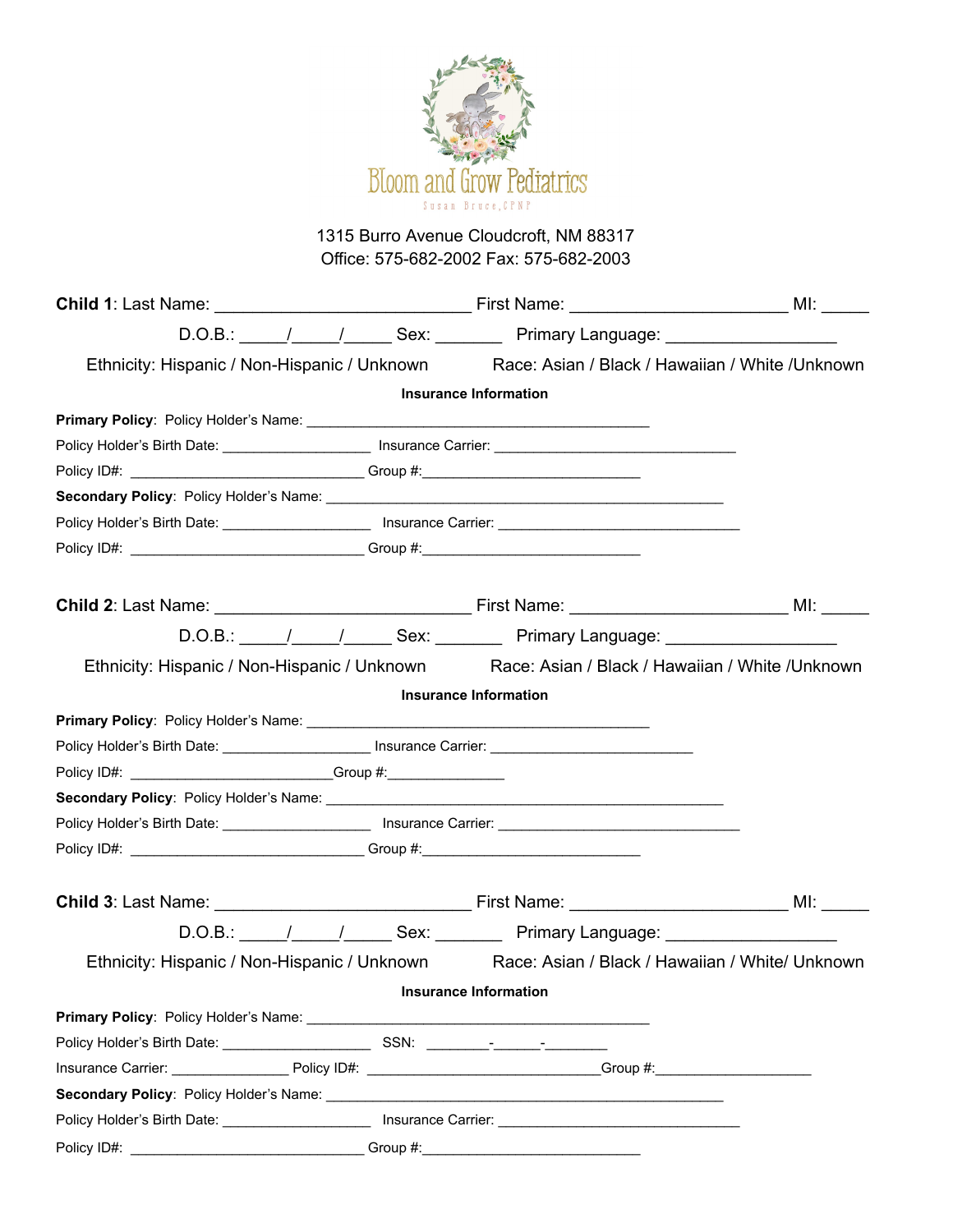

## 1315 Burro Avenue Cloudcroft, NM 88317 Office: 575-682-2002 Fax: 575-682-2003

|                                                                                                                                                                                                                                              |  | Ethnicity: Hispanic / Non-Hispanic / Unknown Race: Asian / Black / Hawaiian / White /Unknown                   |  |
|----------------------------------------------------------------------------------------------------------------------------------------------------------------------------------------------------------------------------------------------|--|----------------------------------------------------------------------------------------------------------------|--|
|                                                                                                                                                                                                                                              |  | <b>Insurance Information</b>                                                                                   |  |
|                                                                                                                                                                                                                                              |  |                                                                                                                |  |
|                                                                                                                                                                                                                                              |  | Policy Holder's Birth Date: ____________________________ Insurance Carrier: __________________________________ |  |
|                                                                                                                                                                                                                                              |  |                                                                                                                |  |
|                                                                                                                                                                                                                                              |  |                                                                                                                |  |
|                                                                                                                                                                                                                                              |  |                                                                                                                |  |
|                                                                                                                                                                                                                                              |  |                                                                                                                |  |
|                                                                                                                                                                                                                                              |  |                                                                                                                |  |
|                                                                                                                                                                                                                                              |  |                                                                                                                |  |
|                                                                                                                                                                                                                                              |  | Ethnicity: Hispanic / Non-Hispanic / Unknown Race: Asian / Black / Hawaiian / White /Unknown                   |  |
|                                                                                                                                                                                                                                              |  | <b>Insurance Information</b>                                                                                   |  |
|                                                                                                                                                                                                                                              |  |                                                                                                                |  |
|                                                                                                                                                                                                                                              |  | Policy Holder's Birth Date: ________________________ Insurance Carrier: ____________________________           |  |
| Policy ID#: __________________________________Group #:____________________                                                                                                                                                                   |  |                                                                                                                |  |
|                                                                                                                                                                                                                                              |  |                                                                                                                |  |
|                                                                                                                                                                                                                                              |  |                                                                                                                |  |
| Policy ID#: __________________________________Group #:__________________________                                                                                                                                                             |  |                                                                                                                |  |
|                                                                                                                                                                                                                                              |  |                                                                                                                |  |
|                                                                                                                                                                                                                                              |  |                                                                                                                |  |
|                                                                                                                                                                                                                                              |  |                                                                                                                |  |
|                                                                                                                                                                                                                                              |  | Ethnicity: Hispanic / Non-Hispanic / Unknown Race: Asian / Black / Hawaiian / White/ Unknown                   |  |
|                                                                                                                                                                                                                                              |  | <b>Insurance Information</b>                                                                                   |  |
| <b>Primary Policy:</b> Policy Holder's Name: <b>Contract Contract Primary Policy:</b> Primary Policy: <b>Primary Policy:</b> Primary Primary Primary Primary Primary Primary Primary Primary Primary Primary Primary Primary Primary Primary |  |                                                                                                                |  |
|                                                                                                                                                                                                                                              |  |                                                                                                                |  |
|                                                                                                                                                                                                                                              |  | Insurance Carrier: Policy ID#: Policy ID#: Carrier: Comp #: Croup #:                                           |  |
|                                                                                                                                                                                                                                              |  |                                                                                                                |  |
|                                                                                                                                                                                                                                              |  |                                                                                                                |  |
|                                                                                                                                                                                                                                              |  |                                                                                                                |  |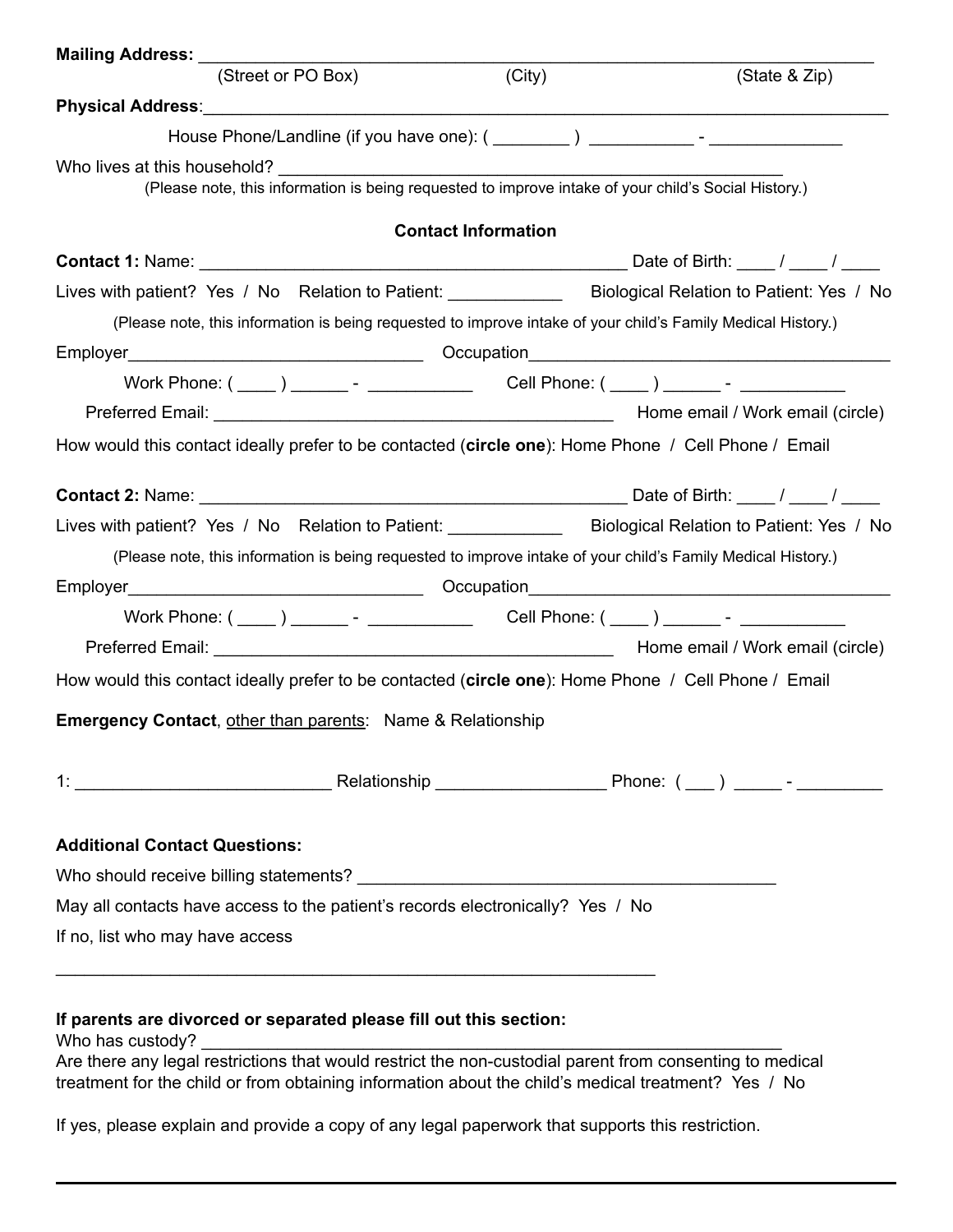| <b>Mailing Address:</b>                                                                                                |                            |                                                                                                                   |
|------------------------------------------------------------------------------------------------------------------------|----------------------------|-------------------------------------------------------------------------------------------------------------------|
| (Street or PO Box)                                                                                                     | (City)                     | (State & Zip)                                                                                                     |
|                                                                                                                        |                            |                                                                                                                   |
|                                                                                                                        |                            |                                                                                                                   |
| Who lives at this household?                                                                                           |                            | (Please note, this information is being requested to improve intake of your child's Social History.)              |
|                                                                                                                        | <b>Contact Information</b> |                                                                                                                   |
|                                                                                                                        |                            |                                                                                                                   |
|                                                                                                                        |                            | Lives with patient? Yes / No Relation to Patient: Biological Relation to Patient: Yes / No                        |
|                                                                                                                        |                            | (Please note, this information is being requested to improve intake of your child's Family Medical History.)      |
|                                                                                                                        |                            |                                                                                                                   |
|                                                                                                                        |                            |                                                                                                                   |
|                                                                                                                        |                            | Preferred Email: <u>New York and Contract and American Contract and American Home email</u> / Work email (circle) |
| How would this contact ideally prefer to be contacted (circle one): Home Phone / Cell Phone / Email                    |                            |                                                                                                                   |
|                                                                                                                        |                            |                                                                                                                   |
|                                                                                                                        |                            |                                                                                                                   |
|                                                                                                                        |                            |                                                                                                                   |
|                                                                                                                        |                            | Lives with patient? Yes / No Relation to Patient: ______________ Biological Relation to Patient: Yes / No         |
|                                                                                                                        |                            | (Please note, this information is being requested to improve intake of your child's Family Medical History.)      |
|                                                                                                                        |                            |                                                                                                                   |
|                                                                                                                        |                            |                                                                                                                   |
|                                                                                                                        |                            | Home email / Work email (circle)                                                                                  |
| How would this contact ideally prefer to be contacted (circle one): Home Phone / Cell Phone / Email                    |                            |                                                                                                                   |
|                                                                                                                        |                            |                                                                                                                   |
| <b>Emergency Contact, other than parents:</b> Name & Relationship                                                      |                            |                                                                                                                   |
|                                                                                                                        |                            |                                                                                                                   |
|                                                                                                                        |                            |                                                                                                                   |
| <b>Additional Contact Questions:</b><br>May all contacts have access to the patient's records electronically? Yes / No |                            |                                                                                                                   |

# **If parents are divorced or separated please fill out this section:**

Who has custody?  $\hfill\blacksquare$ 

Are there any legal restrictions that would restrict the non-custodial parent from consenting to medical treatment for the child or from obtaining information about the child's medical treatment? Yes / No

If yes, please explain and provide a copy of any legal paperwork that supports this restriction.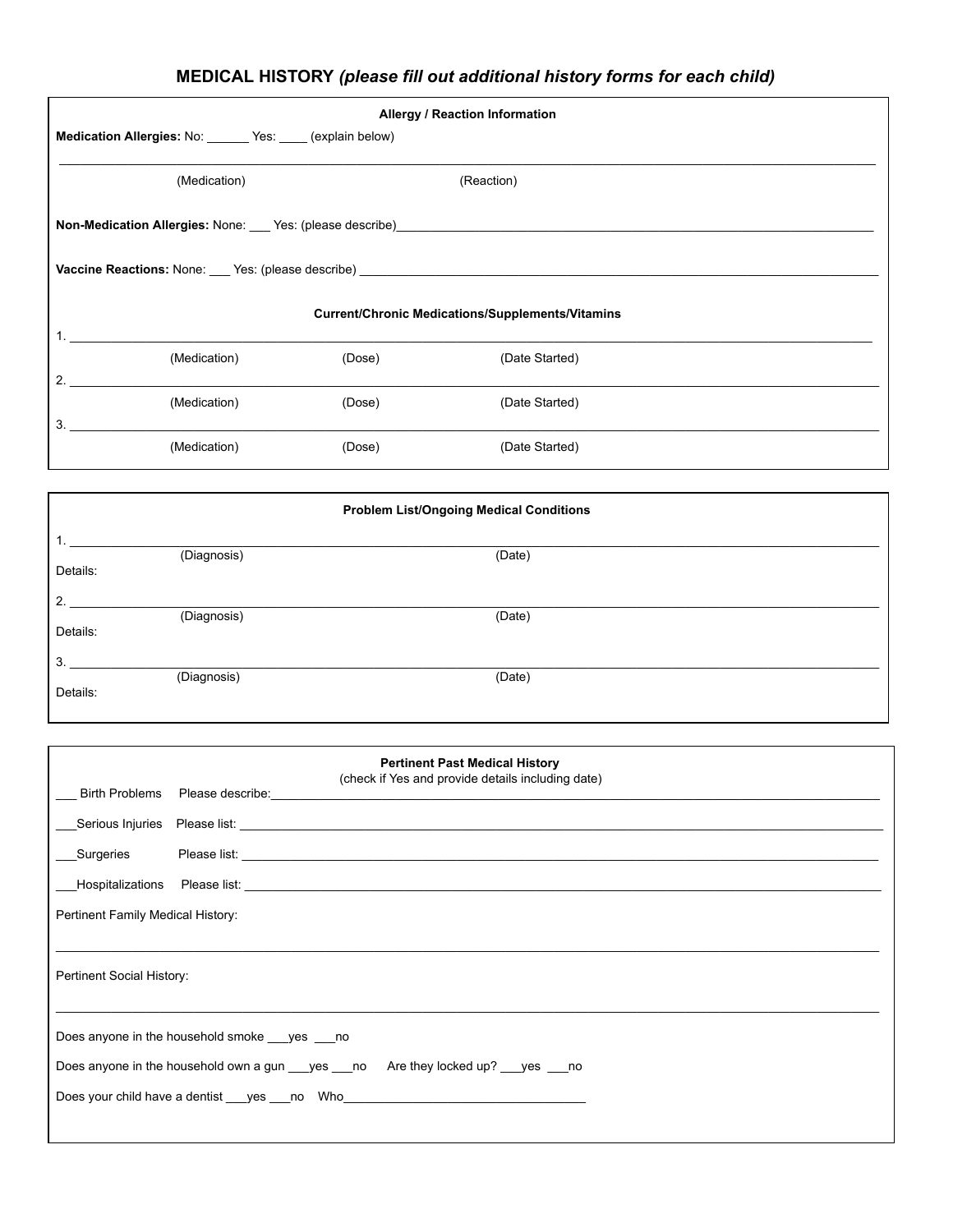## **MEDICAL HISTORY** *(please fill out additional history forms for each child)*

| <b>Allergy / Reaction Information</b>                                                   |        |                                                         |  |  |
|-----------------------------------------------------------------------------------------|--------|---------------------------------------------------------|--|--|
| Medication Allergies: No: ______ Yes: ____ (explain below)                              |        |                                                         |  |  |
| (Medication)                                                                            |        | (Reaction)                                              |  |  |
|                                                                                         |        |                                                         |  |  |
| <b>Vaccine Reactions:</b> None: ___ Yes: (please describe) ____________________________ |        |                                                         |  |  |
|                                                                                         |        |                                                         |  |  |
|                                                                                         |        | <b>Current/Chronic Medications/Supplements/Vitamins</b> |  |  |
| (Medication)                                                                            | (Dose) | (Date Started)                                          |  |  |
| $\overline{2}$ .                                                                        |        |                                                         |  |  |
| (Medication)                                                                            | (Dose) | (Date Started)                                          |  |  |
| 3.                                                                                      |        |                                                         |  |  |
| (Medication)                                                                            | (Dose) | (Date Started)                                          |  |  |

| <b>Problem List/Ongoing Medical Conditions</b> |             |        |  |
|------------------------------------------------|-------------|--------|--|
|                                                | (Diagnosis) | (Date) |  |
| Details:                                       |             |        |  |
| 2.                                             | (Diagnosis) | (Date) |  |
| Details:<br>3.                                 |             |        |  |
| Details:                                       | (Diagnosis) | (Date) |  |
|                                                |             |        |  |

| <b>Pertinent Past Medical History</b><br>(check if Yes and provide details including date) |                                                                                                                |  |  |  |  |
|--------------------------------------------------------------------------------------------|----------------------------------------------------------------------------------------------------------------|--|--|--|--|
|                                                                                            | Birth Problems Please describe: North and the state of the state of the state of the state of the state of the |  |  |  |  |
|                                                                                            |                                                                                                                |  |  |  |  |
|                                                                                            |                                                                                                                |  |  |  |  |
|                                                                                            |                                                                                                                |  |  |  |  |
|                                                                                            | Pertinent Family Medical History:                                                                              |  |  |  |  |
|                                                                                            |                                                                                                                |  |  |  |  |
| Pertinent Social History:                                                                  |                                                                                                                |  |  |  |  |
|                                                                                            |                                                                                                                |  |  |  |  |
| Does anyone in the household smoke ___ yes ___ no                                          |                                                                                                                |  |  |  |  |
| Does anyone in the household own a gun yes no Are they locked up? yes no                   |                                                                                                                |  |  |  |  |
| Does your child have a dentist ___yes ___no Who_________________________________           |                                                                                                                |  |  |  |  |
|                                                                                            |                                                                                                                |  |  |  |  |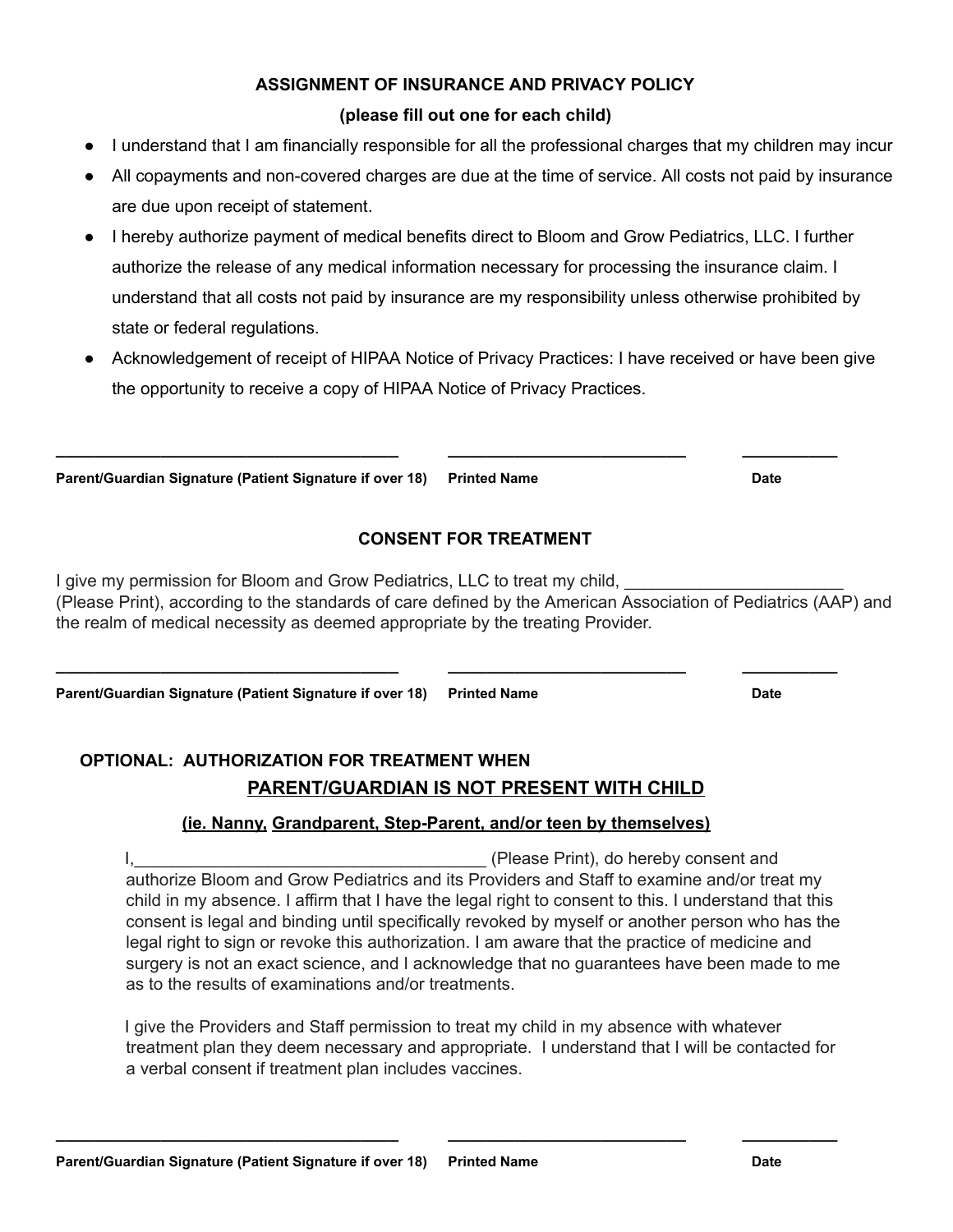#### **ASSIGNMENT OF INSURANCE AND PRIVACY POLICY**

#### **(please fill out one for each child)**

- I understand that I am financially responsible for all the professional charges that my children may incur
- All copayments and non-covered charges are due at the time of service. All costs not paid by insurance are due upon receipt of statement.
- I hereby authorize payment of medical benefits direct to Bloom and Grow Pediatrics, LLC. I further authorize the release of any medical information necessary for processing the insurance claim. I understand that all costs not paid by insurance are my responsibility unless otherwise prohibited by state or federal regulations.
- Acknowledgement of receipt of HIPAA Notice of Privacy Practices: I have received or have been give the opportunity to receive a copy of HIPAA Notice of Privacy Practices.

**Parent/Guardian Signature (Patient Signature if over 18) Printed Name Case Controller Controller Prince Cate** 

#### **CONSENT FOR TREATMENT**

**\_\_\_\_\_\_\_\_\_\_\_\_\_\_\_\_\_\_\_\_\_\_\_\_\_\_\_\_\_\_\_\_\_\_\_\_ \_\_\_\_\_\_\_\_\_\_\_\_\_\_\_\_\_\_\_\_\_\_\_\_\_ \_\_\_\_\_\_\_\_\_\_**

I give my permission for Bloom and Grow Pediatrics, LLC to treat my child, (Please Print), according to the standards of care defined by the American Association of Pediatrics (AAP) and the realm of medical necessity as deemed appropriate by the treating Provider.

**Parent/Guardian Signature (Patient Signature if over 18) Printed Name Case Contract Contract Prince Cate** 

### **OPTIONAL: AUTHORIZATION FOR TREATMENT WHEN PARENT/GUARDIAN IS NOT PRESENT WITH CHILD**

#### **(ie. Nanny, Grandparent, Step-Parent, and/or teen by themselves)**

**\_\_\_\_\_\_\_\_\_\_\_\_\_\_\_\_\_\_\_\_\_\_\_\_\_\_\_\_\_\_\_\_\_\_\_\_ \_\_\_\_\_\_\_\_\_\_\_\_\_\_\_\_\_\_\_\_\_\_\_\_\_ \_\_\_\_\_\_\_\_\_\_**

I, the consent and is a set of the consent of the consent and in the consent and  $\Gamma$ authorize Bloom and Grow Pediatrics and its Providers and Staff to examine and/or treat my child in my absence. I affirm that I have the legal right to consent to this. I understand that this consent is legal and binding until specifically revoked by myself or another person who has the legal right to sign or revoke this authorization. I am aware that the practice of medicine and surgery is not an exact science, and I acknowledge that no guarantees have been made to me as to the results of examinations and/or treatments.

I give the Providers and Staff permission to treat my child in my absence with whatever treatment plan they deem necessary and appropriate. I understand that I will be contacted for a verbal consent if treatment plan includes vaccines.

**\_\_\_\_\_\_\_\_\_\_\_\_\_\_\_\_\_\_\_\_\_\_\_\_\_\_\_\_\_\_\_\_\_\_\_\_ \_\_\_\_\_\_\_\_\_\_\_\_\_\_\_\_\_\_\_\_\_\_\_\_\_ \_\_\_\_\_\_\_\_\_\_**